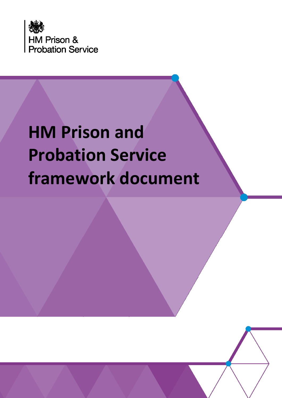

# **HM Prison and Probation Service framework document**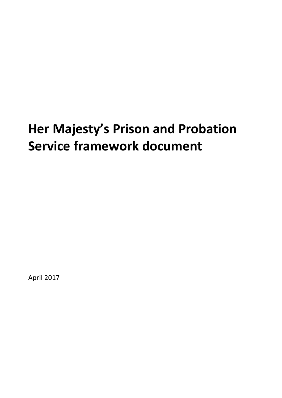## **Her Majesty's Prison and Probation Service framework document**

April 2017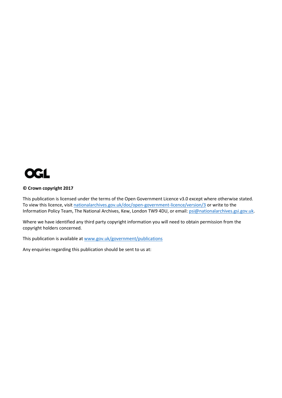

#### **© Crown copyright 2017**

This publication is licensed under the terms of the Open Government Licence v3.0 except where otherwise stated. To view this licence, visi[t nationalarchives.gov.uk/doc/open-government-licence/version/3](http://nationalarchives.gov.uk/doc/open-government-licence/version/3/) or write to the Information Policy Team, The National Archives, Kew, London TW9 4DU, or email: [psi@nationalarchives.gsi.gov.uk.](mailto:psi@nationalarchives.gsi.gov.uk)

Where we have identified any third party copyright information you will need to obtain permission from the copyright holders concerned.

This publication is available a[t www.gov.uk/government/publications](http://www.gov.uk/government/publications)

Any enquiries regarding this publication should be sent to us at: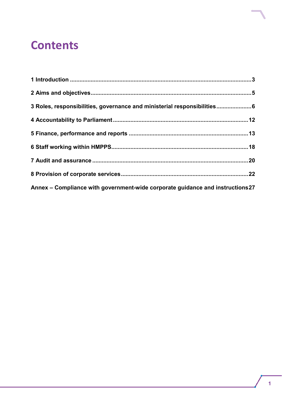## **Contents**

| 3 Roles, responsibilities, governance and ministerial responsibilities6       |  |
|-------------------------------------------------------------------------------|--|
|                                                                               |  |
|                                                                               |  |
|                                                                               |  |
|                                                                               |  |
|                                                                               |  |
| Annex - Compliance with government-wide corporate guidance and instructions27 |  |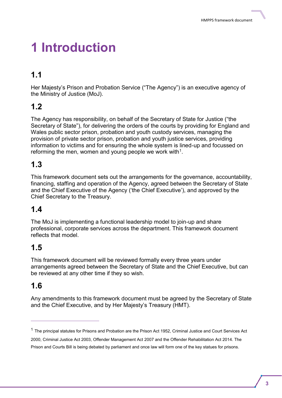## <span id="page-6-0"></span>**1 Introduction**

### **1.1**

Her Majesty's Prison and Probation Service ("The Agency") is an executive agency of the Ministry of Justice (MoJ).

### **1.2**

The Agency has responsibility, on behalf of the Secretary of State for Justice ("the Secretary of State"), for delivering the orders of the courts by providing for England and Wales public sector prison, probation and youth custody services, managing the provision of private sector prison, probation and youth justice services, providing information to victims and for ensuring the whole system is lined-up and focussed on reforming the men, women and young people we work with $1$ .

### **1.3**

This framework document sets out the arrangements for the governance, accountability, financing, staffing and operation of the Agency, agreed between the Secretary of State and the Chief Executive of the Agency ('the Chief Executive'), and approved by the Chief Secretary to the Treasury.

### **1.4**

The MoJ is implementing a functional leadership model to join-up and share professional, corporate services across the department. This framework document reflects that model.

### **1.5**

This framework document will be reviewed formally every three years under arrangements agreed between the Secretary of State and the Chief Executive, but can be reviewed at any other time if they so wish.

### **1.6**

 $\overline{a}$ 

Any amendments to this framework document must be agreed by the Secretary of State and the Chief Executive, and by Her Majesty's Treasury (HMT).

 $1$  The principal statutes for Prisons and Probation are the Prison Act 1952, Criminal Justice and Court Services Act

<sup>2000,</sup> Criminal Justice Act 2003, Offender Management Act 2007 and the Offender Rehabilitation Act 2014. The Prison and Courts Bill is being debated by parliament and once law will form one of the key statues for prisons.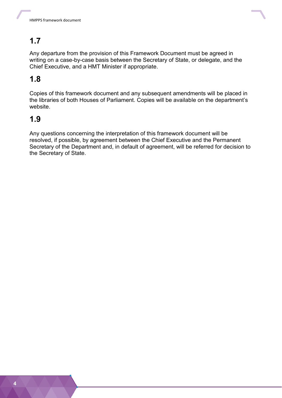

Any departure from the provision of this Framework Document must be agreed in writing on a case-by-case basis between the Secretary of State, or delegate, and the Chief Executive, and a HMT Minister if appropriate.

### **1.8**

Copies of this framework document and any subsequent amendments will be placed in the libraries of both Houses of Parliament. Copies will be available on the department's website.

### **1.9**

Any questions concerning the interpretation of this framework document will be resolved, if possible, by agreement between the Chief Executive and the Permanent Secretary of the Department and, in default of agreement, will be referred for decision to the Secretary of State.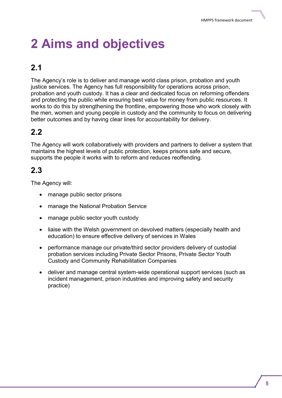## <span id="page-8-0"></span>**2 Aims and objectives**

### **2.1**

The Agency's role is to deliver and manage world class prison, probation and youth justice services. The Agency has full responsibility for operations across prison, probation and youth custody. It has a clear and dedicated focus on reforming offenders and protecting the public while ensuring best value for money from public resources. It works to do this by strengthening the frontline, empowering those who work closely with the men, women and young people in custody and the community to focus on delivering better outcomes and by having clear lines for accountability for delivery.

### **2.2**

The Agency will work collaboratively with providers and partners to deliver a system that maintains the highest levels of public protection, keeps prisons safe and secure, supports the people it works with to reform and reduces reoffending.

### **2.3**

The Agency will:

- manage public sector prisons
- manage the National Probation Service
- manage public sector youth custody
- liaise with the Welsh government on devolved matters (especially health and education) to ensure effective delivery of services in Wales
- performance manage our private/third sector providers delivery of custodial probation services including Private Sector Prisons, Private Sector Youth Custody and Community Rehabilitation Companies
- deliver and manage central system-wide operational support services (such as incident management, prison industries and improving safety and security practice)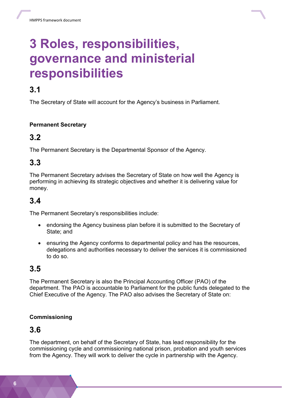

## <span id="page-9-0"></span>**3 Roles, responsibilities, governance and ministerial responsibilities**

### **3.1**

The Secretary of State will account for the Agency's business in Parliament.

#### **Permanent Secretary**

### **3.2**

The Permanent Secretary is the Departmental Sponsor of the Agency.

### **3.3**

The Permanent Secretary advises the Secretary of State on how well the Agency is performing in achieving its strategic objectives and whether it is delivering value for money.

### **3.4**

The Permanent Secretary's responsibilities include:

- endorsing the Agency business plan before it is submitted to the Secretary of State; and
- ensuring the Agency conforms to departmental policy and has the resources, delegations and authorities necessary to deliver the services it is commissioned to do so.

### **3.5**

The Permanent Secretary is also the Principal Accounting Officer (PAO) of the department. The PAO is accountable to Parliament for the public funds delegated to the Chief Executive of the Agency. The PAO also advises the Secretary of State on:

#### **Commissioning**

### **3.6**

The department, on behalf of the Secretary of State, has lead responsibility for the commissioning cycle and commissioning national prison, probation and youth services from the Agency. They will work to deliver the cycle in partnership with the Agency.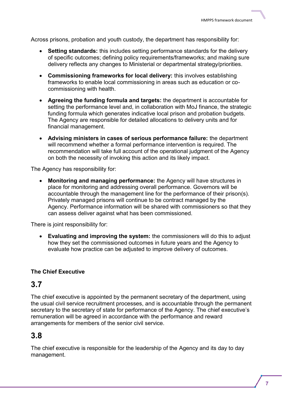Across prisons, probation and youth custody, the department has responsibility for:

- **Setting standards:** this includes setting performance standards for the delivery of specific outcomes; defining policy requirements/frameworks; and making sure delivery reflects any changes to Ministerial or departmental strategy/priorities.
- **Commissioning frameworks for local delivery:** this involves establishing frameworks to enable local commissioning in areas such as education or cocommissioning with health.
- **Agreeing the funding formula and targets:** the department is accountable for setting the performance level and, in collaboration with MoJ finance, the strategic funding formula which generates indicative local prison and probation budgets. The Agency are responsible for detailed allocations to delivery units and for financial management.
- **Advising ministers in cases of serious performance failure:** the department will recommend whether a formal performance intervention is required. The recommendation will take full account of the operational judgment of the Agency on both the necessity of invoking this action and its likely impact.

The Agency has responsibility for:

 **Monitoring and managing performance:** the Agency will have structures in place for monitoring and addressing overall performance. Governors will be accountable through the management line for the performance of their prison(s). Privately managed prisons will continue to be contract managed by the Agency. Performance information will be shared with commissioners so that they can assess deliver against what has been commissioned.

There is joint responsibility for:

 **Evaluating and improving the system:** the commissioners will do this to adjust how they set the commissioned outcomes in future years and the Agency to evaluate how practice can be adjusted to improve delivery of outcomes.

#### **The Chief Executive**

#### **3.7**

The chief executive is appointed by the permanent secretary of the department, using the usual civil service recruitment processes, and is accountable through the permanent secretary to the secretary of state for performance of the Agency. The chief executive's remuneration will be agreed in accordance with the performance and reward arrangements for members of the senior civil service.

#### **3.8**

The chief executive is responsible for the leadership of the Agency and its day to day management.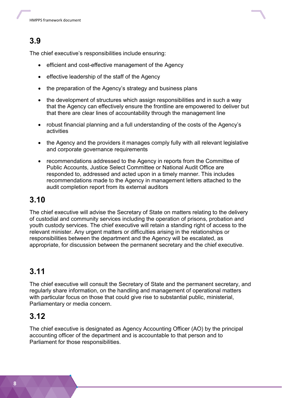The chief executive's responsibilities include ensuring:

- efficient and cost-effective management of the Agency
- effective leadership of the staff of the Agency
- the preparation of the Agency's strategy and business plans
- the development of structures which assign responsibilities and in such a way that the Agency can effectively ensure the frontline are empowered to deliver but that there are clear lines of accountability through the management line
- robust financial planning and a full understanding of the costs of the Agency's activities
- the Agency and the providers it manages comply fully with all relevant legislative and corporate governance requirements
- recommendations addressed to the Agency in reports from the Committee of Public Accounts, Justice Select Committee or National Audit Office are responded to, addressed and acted upon in a timely manner. This includes recommendations made to the Agency in management letters attached to the audit completion report from its external auditors

### **3.10**

The chief executive will advise the Secretary of State on matters relating to the delivery of custodial and community services including the operation of prisons, probation and youth custody services. The chief executive will retain a standing right of access to the relevant minister. Any urgent matters or difficulties arising in the relationships or responsibilities between the department and the Agency will be escalated, as appropriate, for discussion between the permanent secretary and the chief executive.

### **3.11**

The chief executive will consult the Secretary of State and the permanent secretary, and regularly share information, on the handling and management of operational matters with particular focus on those that could give rise to substantial public, ministerial, Parliamentary or media concern.

### **3.12**

The chief executive is designated as Agency Accounting Officer (AO) by the principal accounting officer of the department and is accountable to that person and to Parliament for those responsibilities.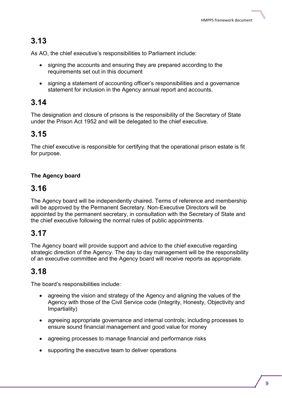As AO, the chief executive's responsibilities to Parliament include:

- signing the accounts and ensuring they are prepared according to the requirements set out in this document
- signing a statement of accounting officer's responsibilities and a governance statement for inclusion in the Agency annual report and accounts.

### **3.14**

The designation and closure of prisons is the responsibility of the Secretary of State under the Prison Act 1952 and will be delegated to the chief executive.

### **3.15**

The chief executive is responsible for certifying that the operational prison estate is fit for purpose.

#### **The Agency board**

### **3.16**

The Agency board will be independently chaired. Terms of reference and membership will be approved by the Permanent Secretary. Non-Executive Directors will be appointed by the permanent secretary, in consultation with the Secretary of State and the chief executive following the normal rules of public appointments.

### **3.17**

The Agency board will provide support and advice to the chief executive regarding strategic direction of the Agency. The day to day management will be the responsibility of an executive committee and the Agency board will receive reports as appropriate.

### **3.18**

The board's responsibilities include:

- agreeing the vision and strategy of the Agency and aligning the values of the Agency with those of the Civil Service code (Integrity, Honesty, Objectivity and Impartiality)
- agreeing appropriate governance and internal controls; including processes to ensure sound financial management and good value for money
- agreeing processes to manage financial and performance risks
- supporting the executive team to deliver operations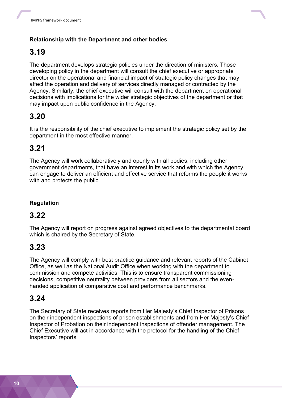

#### **Relationship with the Department and other bodies**

### **3.19**

The department develops strategic policies under the direction of ministers. Those developing policy in the department will consult the chief executive or appropriate director on the operational and financial impact of strategic policy changes that may affect the operation and delivery of services directly managed or contracted by the Agency. Similarly, the chief executive will consult with the department on operational decisions with implications for the wider strategic objectives of the department or that may impact upon public confidence in the Agency.

### **3.20**

It is the responsibility of the chief executive to implement the strategic policy set by the department in the most effective manner.

### **3.21**

The Agency will work collaboratively and openly with all bodies, including other government departments, that have an interest in its work and with which the Agency can engage to deliver an efficient and effective service that reforms the people it works with and protects the public.

#### **Regulation**

### **3.22**

The Agency will report on progress against agreed objectives to the departmental board which is chaired by the Secretary of State.

### **3.23**

The Agency will comply with best practice guidance and relevant reports of the Cabinet Office, as well as the National Audit Office when working with the department to commission and compete activities. This is to ensure transparent commissioning decisions, competitive neutrality between providers from all sectors and the evenhanded application of comparative cost and performance benchmarks.

### **3.24**

The Secretary of State receives reports from Her Majesty's Chief Inspector of Prisons on their independent inspections of prison establishments and from Her Majesty's Chief Inspector of Probation on their independent inspections of offender management. The Chief Executive will act in accordance with the protocol for the handling of the Chief Inspectors' reports.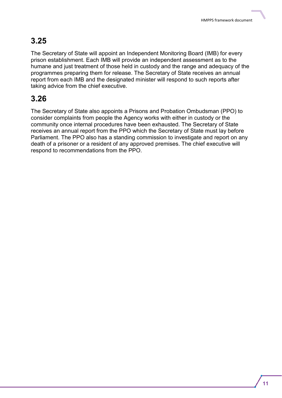The Secretary of State will appoint an Independent Monitoring Board (IMB) for every prison establishment. Each IMB will provide an independent assessment as to the humane and just treatment of those held in custody and the range and adequacy of the programmes preparing them for release. The Secretary of State receives an annual report from each IMB and the designated minister will respond to such reports after taking advice from the chief executive.

### **3.26**

The Secretary of State also appoints a Prisons and Probation Ombudsman (PPO) to consider complaints from people the Agency works with either in custody or the community once internal procedures have been exhausted. The Secretary of State receives an annual report from the PPO which the Secretary of State must lay before Parliament. The PPO also has a standing commission to investigate and report on any death of a prisoner or a resident of any approved premises. The chief executive will respond to recommendations from the PPO.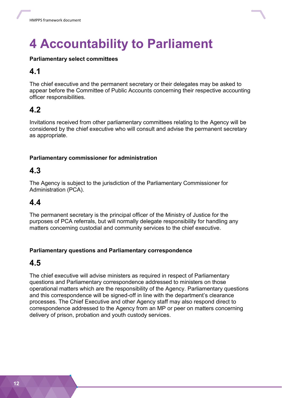<span id="page-15-0"></span>

#### **Parliamentary select committees**

### **4.1**

The chief executive and the permanent secretary or their delegates may be asked to appear before the Committee of Public Accounts concerning their respective accounting officer responsibilities.

### **4.2**

Invitations received from other parliamentary committees relating to the Agency will be considered by the chief executive who will consult and advise the permanent secretary as appropriate.

#### **Parliamentary commissioner for administration**

### **4.3**

The Agency is subject to the jurisdiction of the Parliamentary Commissioner for Administration (PCA).

### **4.4**

The permanent secretary is the principal officer of the Ministry of Justice for the purposes of PCA referrals, but will normally delegate responsibility for handling any matters concerning custodial and community services to the chief executive.

#### **Parliamentary questions and Parliamentary correspondence**

#### **4.5**

The chief executive will advise ministers as required in respect of Parliamentary questions and Parliamentary correspondence addressed to ministers on those operational matters which are the responsibility of the Agency. Parliamentary questions and this correspondence will be signed-off in line with the department's clearance processes. The Chief Executive and other Agency staff may also respond direct to correspondence addressed to the Agency from an MP or peer on matters concerning delivery of prison, probation and youth custody services.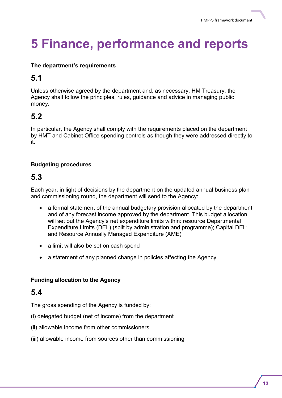## <span id="page-16-0"></span>**5 Finance, performance and reports**

#### **The department's requirements**

### **5.1**

Unless otherwise agreed by the department and, as necessary, HM Treasury, the Agency shall follow the principles, rules, guidance and advice in managing public money.

### **5.2**

In particular, the Agency shall comply with the requirements placed on the department by HMT and Cabinet Office spending controls as though they were addressed directly to it.

#### **Budgeting procedures**

### **5.3**

Each year, in light of decisions by the department on the updated annual business plan and commissioning round, the department will send to the Agency:

- a formal statement of the annual budgetary provision allocated by the department and of any forecast income approved by the department. This budget allocation will set out the Agency's net expenditure limits within: resource Departmental Expenditure Limits (DEL) (split by administration and programme); Capital DEL; and Resource Annually Managed Expenditure (AME)
- a limit will also be set on cash spend
- a statement of any planned change in policies affecting the Agency

#### **Funding allocation to the Agency**

### **5.4**

The gross spending of the Agency is funded by:

- (i) delegated budget (net of income) from the department
- (ii) allowable income from other commissioners
- (iii) allowable income from sources other than commissioning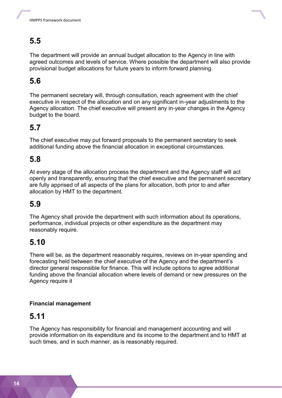

The department will provide an annual budget allocation to the Agency in line with agreed outcomes and levels of service. Where possible the department will also provide provisional budget allocations for future years to inform forward planning.

### **5.6**

The permanent secretary will, through consultation, reach agreement with the chief executive in respect of the allocation and on any significant in-year adjustments to the Agency allocation. The chief executive will present any in-year changes in the Agency budget to the board.

### **5.7**

The chief executive may put forward proposals to the permanent secretary to seek additional funding above the financial allocation in exceptional circumstances.

### **5.8**

At every stage of the allocation process the department and the Agency staff will act openly and transparently, ensuring that the chief executive and the permanent secretary are fully apprised of all aspects of the plans for allocation, both prior to and after allocation by HMT to the department.

### **5.9**

The Agency shall provide the department with such information about its operations, performance, individual projects or other expenditure as the department may reasonably require.

### **5.10**

There will be, as the department reasonably requires, reviews on in-year spending and forecasting held between the chief executive of the Agency and the department's director general responsible for finance. This will include options to agree additional funding above the financial allocation where levels of demand or new pressures on the Agency require it

#### **Financial management**

### **5.11**

The Agency has responsibility for financial and management accounting and will provide information on its expenditure and its income to the department and to HMT at such times, and in such manner, as is reasonably required.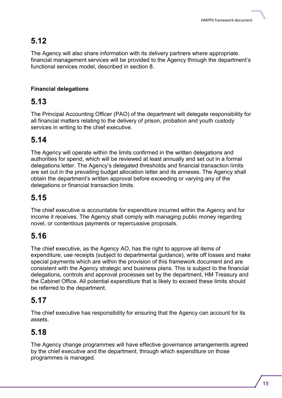The Agency will also share information with its delivery partners where appropriate. financial management services will be provided to the Agency through the department's functional services model, described in section 8.

#### **Financial delegations**

### **5.13**

The Principal Accounting Officer (PAO) of the department will delegate responsibility for all financial matters relating to the delivery of prison, probation and youth custody services in writing to the chief executive.

### **5.14**

The Agency will operate within the limits confirmed in the written delegations and authorities for spend, which will be reviewed at least annually and set out in a formal delegations letter. The Agency's delegated thresholds and financial transaction limits are set out in the prevailing budget allocation letter and its annexes. The Agency shall obtain the department's written approval before exceeding or varying any of the delegations or financial transaction limits.

### **5.15**

The chief executive is accountable for expenditure incurred within the Agency and for income it receives. The Agency shall comply with managing public money regarding novel, or contentious payments or repercussive proposals.

### **5.16**

The chief executive, as the Agency AO, has the right to approve all items of expenditure, use receipts (subject to departmental guidance), write off losses and make special payments which are within the provision of this framework document and are consistent with the Agency strategic and business plans. This is subject to the financial delegations, controls and approval processes set by the department, HM Treasury and the Cabinet Office. All potential expenditure that is likely to exceed these limits should be referred to the department.

### **5.17**

The chief executive has responsibility for ensuring that the Agency can account for its assets.

### **5.18**

The Agency change programmes will have effective governance arrangements agreed by the chief executive and the department, through which expenditure on those programmes is managed.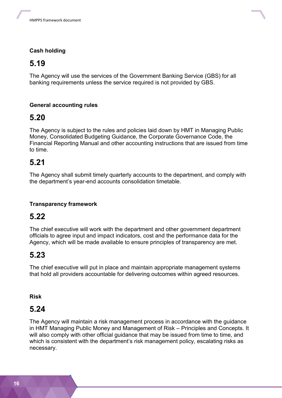

#### **Cash holding**

### **5.19**

The Agency will use the services of the Government Banking Service (GBS) for all banking requirements unless the service required is not provided by GBS.

#### **General accounting rules**

### **5.20**

The Agency is subject to the rules and policies laid down by HMT in Managing Public Money, Consolidated Budgeting Guidance, the Corporate Governance Code, the Financial Reporting Manual and other accounting instructions that are issued from time to time.

### **5.21**

The Agency shall submit timely quarterly accounts to the department, and comply with the department's year-end accounts consolidation timetable.

#### **Transparency framework**

### **5.22**

The chief executive will work with the department and other government department officials to agree input and impact indicators, cost and the performance data for the Agency, which will be made available to ensure principles of transparency are met.

### **5.23**

The chief executive will put in place and maintain appropriate management systems that hold all providers accountable for delivering outcomes within agreed resources.

#### **Risk**

### **5.24**

The Agency will maintain a risk management process in accordance with the guidance in HMT Managing Public Money and Management of Risk – Principles and Concepts. It will also comply with other official guidance that may be issued from time to time, and which is consistent with the department's risk management policy, escalating risks as necessary.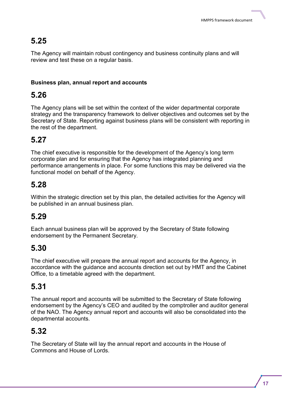The Agency will maintain robust contingency and business continuity plans and will review and test these on a regular basis.

#### **Business plan, annual report and accounts**

### **5.26**

The Agency plans will be set within the context of the wider departmental corporate strategy and the transparency framework to deliver objectives and outcomes set by the Secretary of State. Reporting against business plans will be consistent with reporting in the rest of the department.

### **5.27**

The chief executive is responsible for the development of the Agency's long term corporate plan and for ensuring that the Agency has integrated planning and performance arrangements in place. For some functions this may be delivered via the functional model on behalf of the Agency.

### **5.28**

Within the strategic direction set by this plan, the detailed activities for the Agency will be published in an annual business plan.

### **5.29**

Each annual business plan will be approved by the Secretary of State following endorsement by the Permanent Secretary.

### **5.30**

The chief executive will prepare the annual report and accounts for the Agency, in accordance with the guidance and accounts direction set out by HMT and the Cabinet Office, to a timetable agreed with the department.

### **5.31**

The annual report and accounts will be submitted to the Secretary of State following endorsement by the Agency's CEO and audited by the comptroller and auditor general of the NAO. The Agency annual report and accounts will also be consolidated into the departmental accounts.

### **5.32**

The Secretary of State will lay the annual report and accounts in the House of Commons and House of Lords.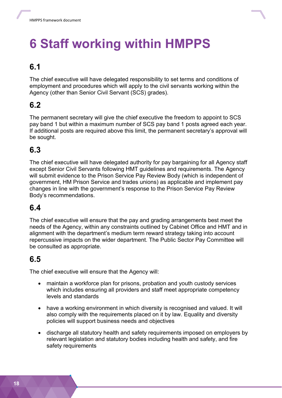## <span id="page-21-0"></span>**6 Staff working within HMPPS**

### **6.1**

The chief executive will have delegated responsibility to set terms and conditions of employment and procedures which will apply to the civil servants working within the Agency (other than Senior Civil Servant (SCS) grades).

### **6.2**

The permanent secretary will give the chief executive the freedom to appoint to SCS pay band 1 but within a maximum number of SCS pay band 1 posts agreed each year. If additional posts are required above this limit, the permanent secretary's approval will be sought.

### **6.3**

The chief executive will have delegated authority for pay bargaining for all Agency staff except Senior Civil Servants following HMT guidelines and requirements. The Agency will submit evidence to the Prison Service Pay Review Body (which is independent of government, HM Prison Service and trades unions) as applicable and implement pay changes in line with the government's response to the Prison Service Pay Review Body's recommendations.

### **6.4**

The chief executive will ensure that the pay and grading arrangements best meet the needs of the Agency, within any constraints outlined by Cabinet Office and HMT and in alignment with the department's medium term reward strategy taking into account repercussive impacts on the wider department. The Public Sector Pay Committee will be consulted as appropriate.

### **6.5**

The chief executive will ensure that the Agency will:

- maintain a workforce plan for prisons, probation and youth custody services which includes ensuring all providers and staff meet appropriate competency levels and standards
- have a working environment in which diversity is recognised and valued. It will also comply with the requirements placed on it by law. Equality and diversity policies will support business needs and objectives
- discharge all statutory health and safety requirements imposed on employers by relevant legislation and statutory bodies including health and safety, and fire safety requirements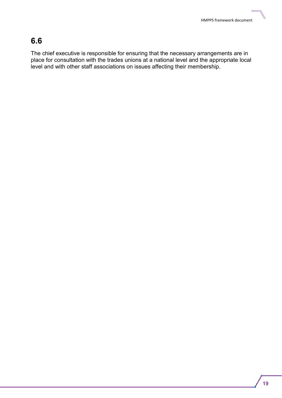The chief executive is responsible for ensuring that the necessary arrangements are in place for consultation with the trades unions at a national level and the appropriate local level and with other staff associations on issues affecting their membership.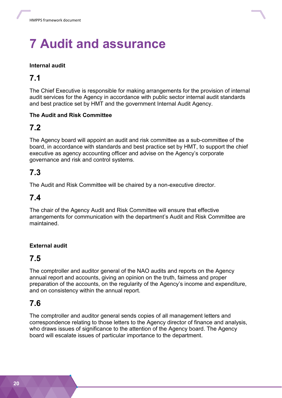## <span id="page-23-0"></span>**7 Audit and assurance**

#### **Internal audit**

### **7.1**

The Chief Executive is responsible for making arrangements for the provision of internal audit services for the Agency in accordance with public sector internal audit standards and best practice set by HMT and the government Internal Audit Agency.

#### **The Audit and Risk Committee**

### **7.2**

The Agency board will appoint an audit and risk committee as a sub-committee of the board, in accordance with standards and best practice set by HMT, to support the chief executive as agency accounting officer and advise on the Agency's corporate governance and risk and control systems.

### **7.3**

The Audit and Risk Committee will be chaired by a non-executive director.

### **7.4**

The chair of the Agency Audit and Risk Committee will ensure that effective arrangements for communication with the department's Audit and Risk Committee are maintained.

#### **External audit**

### **7.5**

The comptroller and auditor general of the NAO audits and reports on the Agency annual report and accounts, giving an opinion on the truth, fairness and proper preparation of the accounts, on the regularity of the Agency's income and expenditure, and on consistency within the annual report.

### **7.6**

The comptroller and auditor general sends copies of all management letters and correspondence relating to those letters to the Agency director of finance and analysis, who draws issues of significance to the attention of the Agency board. The Agency board will escalate issues of particular importance to the department.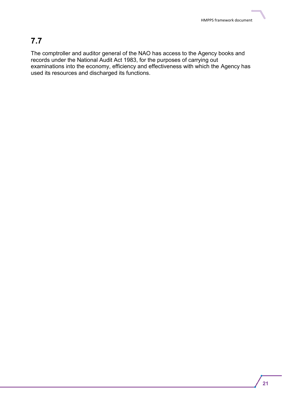The comptroller and auditor general of the NAO has access to the Agency books and records under the National Audit Act 1983, for the purposes of carrying out examinations into the economy, efficiency and effectiveness with which the Agency has used its resources and discharged its functions.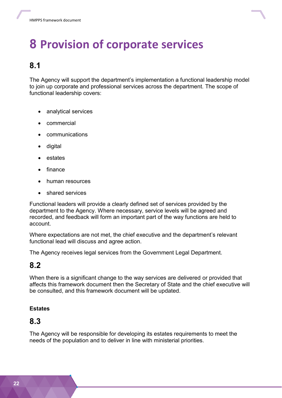<span id="page-25-0"></span>

The Agency will support the department's implementation a functional leadership model to join up corporate and professional services across the department. The scope of functional leadership covers:

- analytical services
- commercial
- communications
- digital
- estates
- finance
- human resources
- shared services

Functional leaders will provide a clearly defined set of services provided by the department to the Agency. Where necessary, service levels will be agreed and recorded, and feedback will form an important part of the way functions are held to account.

Where expectations are not met, the chief executive and the department's relevant functional lead will discuss and agree action.

The Agency receives legal services from the Government Legal Department.

### **8.2**

When there is a significant change to the way services are delivered or provided that affects this framework document then the Secretary of State and the chief executive will be consulted, and this framework document will be updated.

#### **Estates**

### **8.3**

The Agency will be responsible for developing its estates requirements to meet the needs of the population and to deliver in line with ministerial priorities.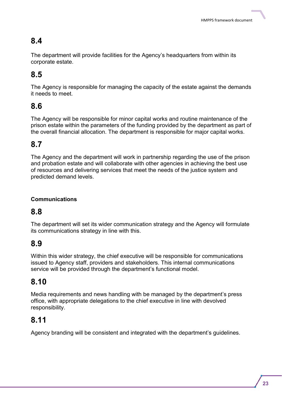The department will provide facilities for the Agency's headquarters from within its corporate estate.

### **8.5**

The Agency is responsible for managing the capacity of the estate against the demands it needs to meet.

### **8.6**

The Agency will be responsible for minor capital works and routine maintenance of the prison estate within the parameters of the funding provided by the department as part of the overall financial allocation. The department is responsible for major capital works.

### **8.7**

The Agency and the department will work in partnership regarding the use of the prison and probation estate and will collaborate with other agencies in achieving the best use of resources and delivering services that meet the needs of the justice system and predicted demand levels.

#### **Communications**

### **8.8**

The department will set its wider communication strategy and the Agency will formulate its communications strategy in line with this.

### **8.9**

Within this wider strategy, the chief executive will be responsible for communications issued to Agency staff, providers and stakeholders. This internal communications service will be provided through the department's functional model.

### **8.10**

Media requirements and news handling with be managed by the department's press office, with appropriate delegations to the chief executive in line with devolved responsibility.

### **8.11**

Agency branding will be consistent and integrated with the department's guidelines.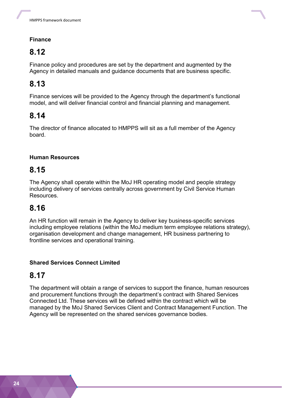

#### **Finance**

### **8.12**

Finance policy and procedures are set by the department and augmented by the Agency in detailed manuals and guidance documents that are business specific.

### **8.13**

Finance services will be provided to the Agency through the department's functional model, and will deliver financial control and financial planning and management.

### **8.14**

The director of finance allocated to HMPPS will sit as a full member of the Agency board.

#### **Human Resources**

### **8.15**

The Agency shall operate within the MoJ HR operating model and people strategy including delivery of services centrally across government by Civil Service Human Resources.

### **8.16**

An HR function will remain in the Agency to deliver key business-specific services including employee relations (within the MoJ medium term employee relations strategy), organisation development and change management, HR business partnering to frontline services and operational training.

#### **Shared Services Connect Limited**

### **8.17**

The department will obtain a range of services to support the finance, human resources and procurement functions through the department's contract with Shared Services Connected Ltd. These services will be defined within the contract which will be managed by the MoJ Shared Services Client and Contract Management Function. The Agency will be represented on the shared services governance bodies.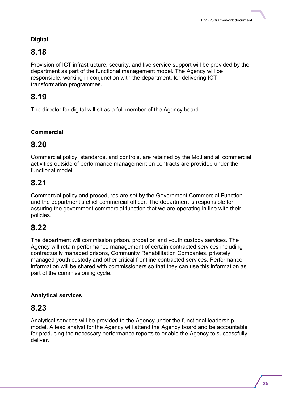#### **Digital**

### **8.18**

Provision of ICT infrastructure, security, and live service support will be provided by the department as part of the functional management model. The Agency will be responsible, working in conjunction with the department, for delivering ICT transformation programmes.

### **8.19**

The director for digital will sit as a full member of the Agency board

#### **Commercial**

### **8.20**

Commercial policy, standards, and controls, are retained by the MoJ and all commercial activities outside of performance management on contracts are provided under the functional model.

### **8.21**

Commercial policy and procedures are set by the Government Commercial Function and the department's chief commercial officer. The department is responsible for assuring the government commercial function that we are operating in line with their policies.

### **8.22**

The department will commission prison, probation and youth custody services. The Agency will retain performance management of certain contracted services including contractually managed prisons, Community Rehabilitation Companies, privately managed youth custody and other critical frontline contracted services. Performance information will be shared with commissioners so that they can use this information as part of the commissioning cycle.

#### **Analytical services**

### **8.23**

Analytical services will be provided to the Agency under the functional leadership model. A lead analyst for the Agency will attend the Agency board and be accountable for producing the necessary performance reports to enable the Agency to successfully deliver.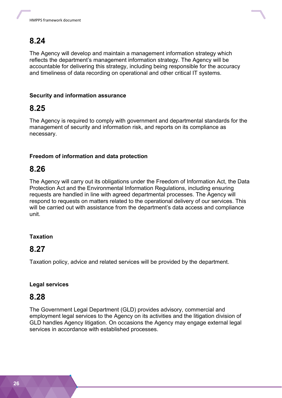

The Agency will develop and maintain a management information strategy which reflects the department's management information strategy. The Agency will be accountable for delivering this strategy, including being responsible for the accuracy and timeliness of data recording on operational and other critical IT systems.

#### **Security and information assurance**

### **8.25**

The Agency is required to comply with government and departmental standards for the management of security and information risk, and reports on its compliance as necessary.

#### **Freedom of information and data protection**

### **8.26**

The Agency will carry out its obligations under the Freedom of Information Act, the Data Protection Act and the Environmental Information Regulations, including ensuring requests are handled in line with agreed departmental processes. The Agency will respond to requests on matters related to the operational delivery of our services. This will be carried out with assistance from the department's data access and compliance unit.

#### **Taxation**

### **8.27**

Taxation policy, advice and related services will be provided by the department.

#### **Legal services**

### **8.28**

The Government Legal Department (GLD) provides advisory, commercial and employment legal services to the Agency on its activities and the litigation division of GLD handles Agency litigation. On occasions the Agency may engage external legal services in accordance with established processes.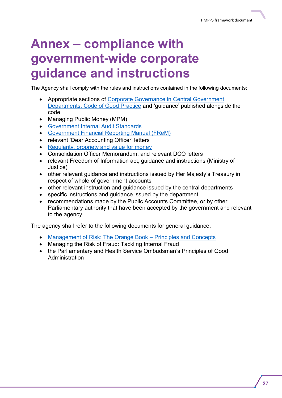## <span id="page-30-0"></span>**Annex – compliance with government-wide corporate guidance and instructions**

The Agency shall comply with the rules and instructions contained in the following documents:

- Appropriate sections of [Corporate Governance in Central Government](http://www.hm-treasury.gov.uk/d/corporate_governance_good_practice_july2011.pdf)  [Departments: Code of Good Practice](http://www.hm-treasury.gov.uk/d/corporate_governance_good_practice_july2011.pdf) and 'guidance' published alongside the code
- Managing Public Money (MPM)
- [Government Internal Audit Standards](http://www.hm-treasury.gov.uk/psr_governance_gia_guidance.htm)
- [Government Financial Reporting Manual \(FReM\)](https://www.gov.uk/government/publications/government-financial-reporting-manual-2016-to-2017)
- relevant 'Dear Accounting Officer' letters
- [Regularity, propriety and value for money](http://www.hm-treasury.gov.uk/psr_governance_valueformoney.htm)
- Consolidation Officer Memorandum, and relevant DCO letters
- relevant Freedom of Information act, guidance and instructions (Ministry of Justice)
- other relevant guidance and instructions issued by Her Majesty's Treasury in respect of whole of government accounts
- other relevant instruction and guidance issued by the central departments
- specific instructions and guidance issued by the department
- recommendations made by the Public Accounts Committee, or by other Parliamentary authority that have been accepted by the government and relevant to the agency

The agency shall refer to the following documents for general guidance:

- [Management of Risk: The Orange Book](http://www.hm-treasury.gov.uk/d/orange_book.pdf)  Principles and Concepts
- Managing the Risk of Fraud: Tackling Internal Fraud
- the Parliamentary and Health Service Ombudsman's Principles of Good Administration